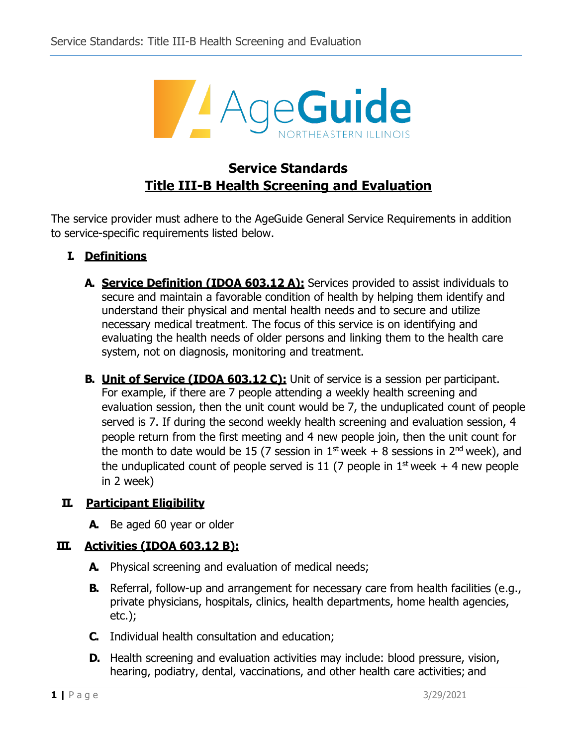

## **Service Standards Title III-B Health Screening and Evaluation**

The service provider must adhere to the AgeGuide General Service Requirements in addition to service-specific requirements listed below.

- **I. Definitions**
	- **A. Service Definition (IDOA 603.12 A):** Services provided to assist individuals to secure and maintain a favorable condition of health by helping them identify and understand their physical and mental health needs and to secure and utilize necessary medical treatment. The focus of this service is on identifying and evaluating the health needs of older persons and linking them to the health care system, not on diagnosis, monitoring and treatment.
	- **B.** Unit of Service (IDOA 603.12 C): Unit of service is a session per participant. For example, if there are 7 people attending a weekly health screening and evaluation session, then the unit count would be 7, the unduplicated count of people served is 7. If during the second weekly health screening and evaluation session, 4 people return from the first meeting and 4 new people join, then the unit count for the month to date would be 15 (7 session in  $1^{st}$  week + 8 sessions in  $2^{nd}$  week), and the unduplicated count of people served is 11 (7 people in  $1^{st}$  week + 4 new people in 2 week)

## **II. Participant Eligibility**

**A.** Be aged 60 year or older

## **III. Activities (IDOA 603.12 B):**

- **A.** Physical screening and evaluation of medical needs;
- **B.** Referral, follow-up and arrangement for necessary care from health facilities (e.g., private physicians, hospitals, clinics, health departments, home health agencies, etc.);
- **C.** Individual health consultation and education;
- **D.** Health screening and evaluation activities may include: blood pressure, vision, hearing, podiatry, dental, vaccinations, and other health care activities; and